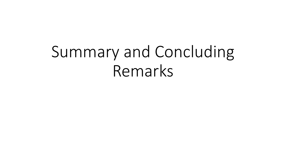## Summary and Concluding Remarks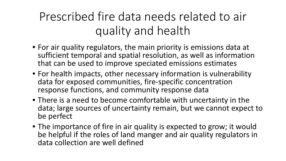## Prescribed fire data needs related to air quality and health

- For air quality regulators, the main priority is emissions data at sufficient temporal and spatial resolution, as well as information that can be used to improve speciated emissions estimates
- For health impacts, other necessary information is vulnerability data for exposed communities, fire-specific concentration response functions, and community response data
- There is a need to become comfortable with uncertainty in the data; large sources of uncertainty remain, but we cannot expect to be perfect
- The importance of fire in air quality is expected to grow; it would be helpful if the roles of land manger and air quality regulators in data collection are well defined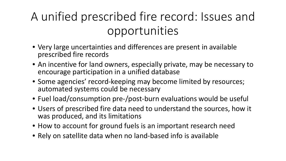## A unified prescribed fire record: Issues and opportunities

- Very large uncertainties and differences are present in available prescribed fire records
- An incentive for land owners, especially private, may be necessary to encourage participation in a unified database
- Some agencies' record-keeping may become limited by resources; automated systems could be necessary
- Fuel load/consumption pre-/post-burn evaluations would be useful
- Users of prescribed fire data need to understand the sources, how it was produced, and its limitations
- How to account for ground fuels is an important research need
- Rely on satellite data when no land-based info is available